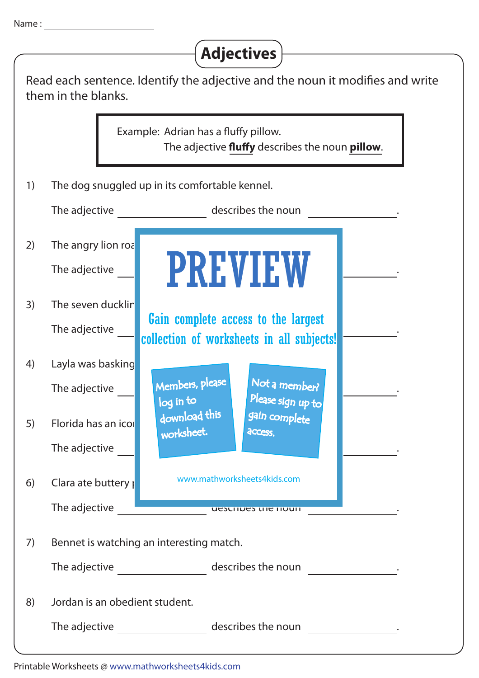